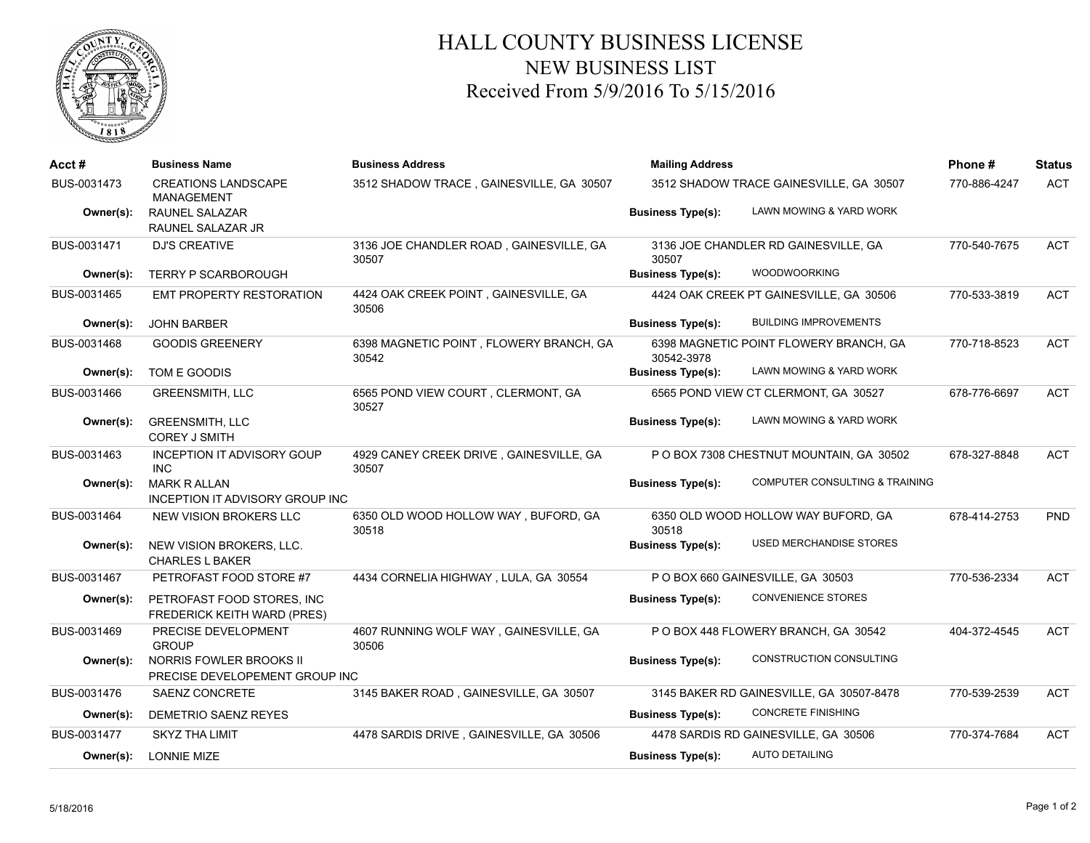

## HALL COUNTY BUSINESS LICENSE NEW BUSINESS LIST Received From 5/9/2016 To 5/15/2016

| Acct #      | <b>Business Name</b>                                          | <b>Business Address</b>                          | <b>Mailing Address</b>   |                                          | Phone#       | <b>Status</b> |
|-------------|---------------------------------------------------------------|--------------------------------------------------|--------------------------|------------------------------------------|--------------|---------------|
| BUS-0031473 | <b>CREATIONS LANDSCAPE</b><br><b>MANAGEMENT</b>               | 3512 SHADOW TRACE, GAINESVILLE, GA 30507         |                          | 3512 SHADOW TRACE GAINESVILLE, GA 30507  | 770-886-4247 | <b>ACT</b>    |
| Owner(s):   | <b>RAUNEL SALAZAR</b><br>RAUNEL SALAZAR JR                    |                                                  | <b>Business Type(s):</b> | LAWN MOWING & YARD WORK                  |              |               |
| BUS-0031471 | <b>DJ'S CREATIVE</b>                                          | 3136 JOE CHANDLER ROAD, GAINESVILLE, GA<br>30507 | 30507                    | 3136 JOE CHANDLER RD GAINESVILLE, GA     | 770-540-7675 | <b>ACT</b>    |
| Owner(s):   | <b>TERRY P SCARBOROUGH</b>                                    |                                                  | <b>Business Type(s):</b> | <b>WOODWOORKING</b>                      |              |               |
| BUS-0031465 | <b>EMT PROPERTY RESTORATION</b>                               | 4424 OAK CREEK POINT, GAINESVILLE, GA<br>30506   |                          | 4424 OAK CREEK PT GAINESVILLE, GA 30506  | 770-533-3819 | <b>ACT</b>    |
| Owner(s):   | <b>JOHN BARBER</b>                                            |                                                  | <b>Business Type(s):</b> | <b>BUILDING IMPROVEMENTS</b>             |              |               |
| BUS-0031468 | <b>GOODIS GREENERY</b>                                        | 6398 MAGNETIC POINT, FLOWERY BRANCH, GA<br>30542 | 30542-3978               | 6398 MAGNETIC POINT FLOWERY BRANCH, GA   | 770-718-8523 | <b>ACT</b>    |
| Owner(s):   | TOM E GOODIS                                                  |                                                  | <b>Business Type(s):</b> | LAWN MOWING & YARD WORK                  |              |               |
| BUS-0031466 | <b>GREENSMITH, LLC</b>                                        | 6565 POND VIEW COURT, CLERMONT, GA<br>30527      |                          | 6565 POND VIEW CT CLERMONT, GA 30527     | 678-776-6697 | <b>ACT</b>    |
| Owner(s):   | <b>GREENSMITH, LLC</b><br><b>COREY J SMITH</b>                |                                                  | <b>Business Type(s):</b> | LAWN MOWING & YARD WORK                  |              |               |
| BUS-0031463 | <b>INCEPTION IT ADVISORY GOUP</b><br><b>INC</b>               | 4929 CANEY CREEK DRIVE, GAINESVILLE, GA<br>30507 |                          | P O BOX 7308 CHESTNUT MOUNTAIN, GA 30502 | 678-327-8848 | <b>ACT</b>    |
| Owner(s):   | <b>MARK R ALLAN</b><br><b>INCEPTION IT ADVISORY GROUP INC</b> |                                                  | <b>Business Type(s):</b> | COMPUTER CONSULTING & TRAINING           |              |               |
| BUS-0031464 | NEW VISION BROKERS LLC                                        | 6350 OLD WOOD HOLLOW WAY, BUFORD, GA<br>30518    | 30518                    | 6350 OLD WOOD HOLLOW WAY BUFORD, GA      | 678-414-2753 | PND           |
| Owner(s):   | NEW VISION BROKERS, LLC.<br><b>CHARLES L BAKER</b>            |                                                  | <b>Business Type(s):</b> | <b>USED MERCHANDISE STORES</b>           |              |               |
| BUS-0031467 | PETROFAST FOOD STORE #7                                       | 4434 CORNELIA HIGHWAY, LULA, GA 30554            |                          | P O BOX 660 GAINESVILLE, GA 30503        | 770-536-2334 | <b>ACT</b>    |
| Owner(s):   | PETROFAST FOOD STORES. INC<br>FREDERICK KEITH WARD (PRES)     |                                                  | <b>Business Type(s):</b> | <b>CONVENIENCE STORES</b>                |              |               |
| BUS-0031469 | PRECISE DEVELOPMENT<br><b>GROUP</b>                           | 4607 RUNNING WOLF WAY, GAINESVILLE, GA<br>30506  |                          | P O BOX 448 FLOWERY BRANCH, GA 30542     | 404-372-4545 | <b>ACT</b>    |
| Owner(s):   | NORRIS FOWLER BROOKS II<br>PRECISE DEVELOPEMENT GROUP INC     |                                                  | <b>Business Type(s):</b> | CONSTRUCTION CONSULTING                  |              |               |
| BUS-0031476 | SAENZ CONCRETE                                                | 3145 BAKER ROAD, GAINESVILLE, GA 30507           |                          | 3145 BAKER RD GAINESVILLE, GA 30507-8478 | 770-539-2539 | <b>ACT</b>    |
| Owner(s):   | DEMETRIO SAENZ REYES                                          |                                                  | <b>Business Type(s):</b> | <b>CONCRETE FINISHING</b>                |              |               |
| BUS-0031477 | <b>SKYZ THA LIMIT</b>                                         | 4478 SARDIS DRIVE, GAINESVILLE, GA 30506         |                          | 4478 SARDIS RD GAINESVILLE, GA 30506     | 770-374-7684 | <b>ACT</b>    |
| Owner(s):   | <b>LONNIE MIZE</b>                                            |                                                  | <b>Business Type(s):</b> | <b>AUTO DETAILING</b>                    |              |               |